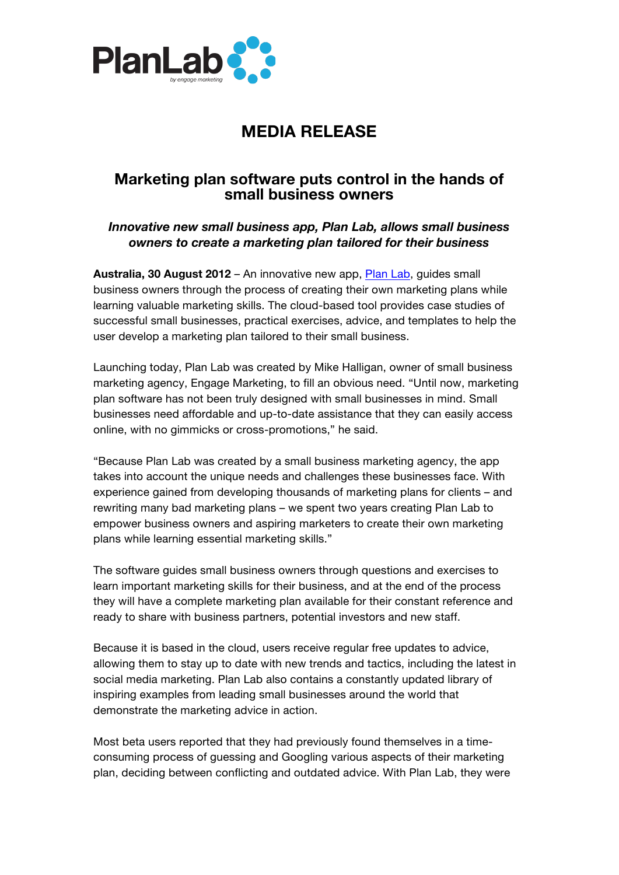

# **MEDIA RELEASE**

## **Marketing plan software puts control in the hands of small business owners**

### *Innovative new small business app, Plan Lab, allows small business owners to create a marketing plan tailored for their business*

**Australia, 30 August 2012** – An innovative new app, Plan Lab, guides small business owners through the process of creating their own marketing plans while learning valuable marketing skills. The cloud-based tool provides case studies of successful small businesses, practical exercises, advice, and templates to help the user develop a marketing plan tailored to their small business.

Launching today, Plan Lab was created by Mike Halligan, owner of small business marketing agency, Engage Marketing, to fill an obvious need. "Until now, marketing plan software has not been truly designed with small businesses in mind. Small businesses need affordable and up-to-date assistance that they can easily access online, with no gimmicks or cross-promotions," he said.

"Because Plan Lab was created by a small business marketing agency, the app takes into account the unique needs and challenges these businesses face. With experience gained from developing thousands of marketing plans for clients – and rewriting many bad marketing plans – we spent two years creating Plan Lab to empower business owners and aspiring marketers to create their own marketing plans while learning essential marketing skills."

The software guides small business owners through questions and exercises to learn important marketing skills for their business, and at the end of the process they will have a complete marketing plan available for their constant reference and ready to share with business partners, potential investors and new staff.

Because it is based in the cloud, users receive regular free updates to advice, allowing them to stay up to date with new trends and tactics, including the latest in social media marketing. Plan Lab also contains a constantly updated library of inspiring examples from leading small businesses around the world that demonstrate the marketing advice in action.

Most beta users reported that they had previously found themselves in a timeconsuming process of guessing and Googling various aspects of their marketing plan, deciding between conflicting and outdated advice. With Plan Lab, they were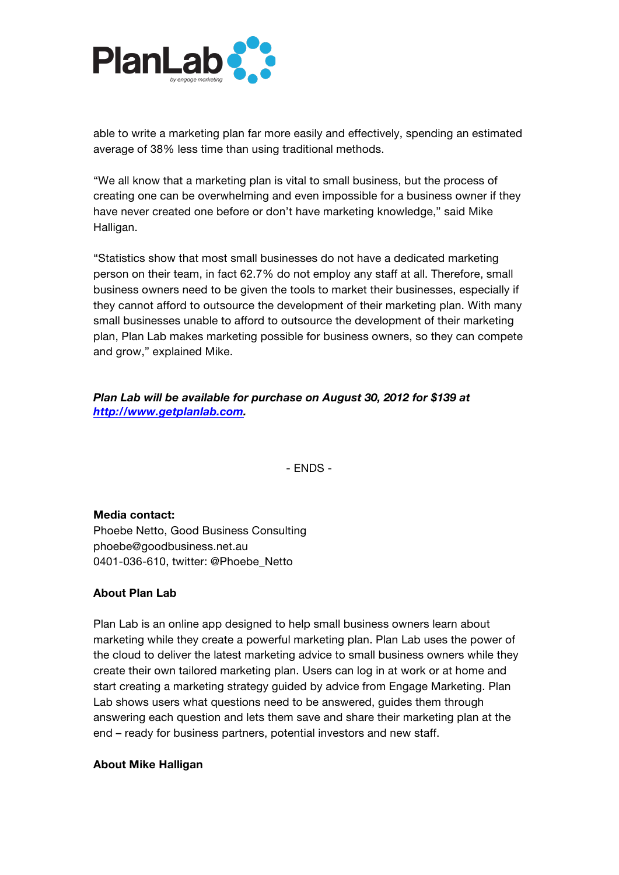

able to write a marketing plan far more easily and effectively, spending an estimated average of 38% less time than using traditional methods.

"We all know that a marketing plan is vital to small business, but the process of creating one can be overwhelming and even impossible for a business owner if they have never created one before or don't have marketing knowledge," said Mike Halligan.

"Statistics show that most small businesses do not have a dedicated marketing person on their team, in fact 62.7% do not employ any staff at all. Therefore, small business owners need to be given the tools to market their businesses, especially if they cannot afford to outsource the development of their marketing plan. With many small businesses unable to afford to outsource the development of their marketing plan, Plan Lab makes marketing possible for business owners, so they can compete and grow," explained Mike.

*Plan Lab will be available for purchase on August 30, 2012 for \$139 at http://www.getplanlab.com.*

- ENDS -

#### **Media contact:**

Phoebe Netto, Good Business Consulting phoebe@goodbusiness.net.au 0401-036-610, twitter: @Phoebe\_Netto

#### **About Plan Lab**

Plan Lab is an online app designed to help small business owners learn about marketing while they create a powerful marketing plan. Plan Lab uses the power of the cloud to deliver the latest marketing advice to small business owners while they create their own tailored marketing plan. Users can log in at work or at home and start creating a marketing strategy guided by advice from Engage Marketing. Plan Lab shows users what questions need to be answered, guides them through answering each question and lets them save and share their marketing plan at the end – ready for business partners, potential investors and new staff.

#### **About Mike Halligan**